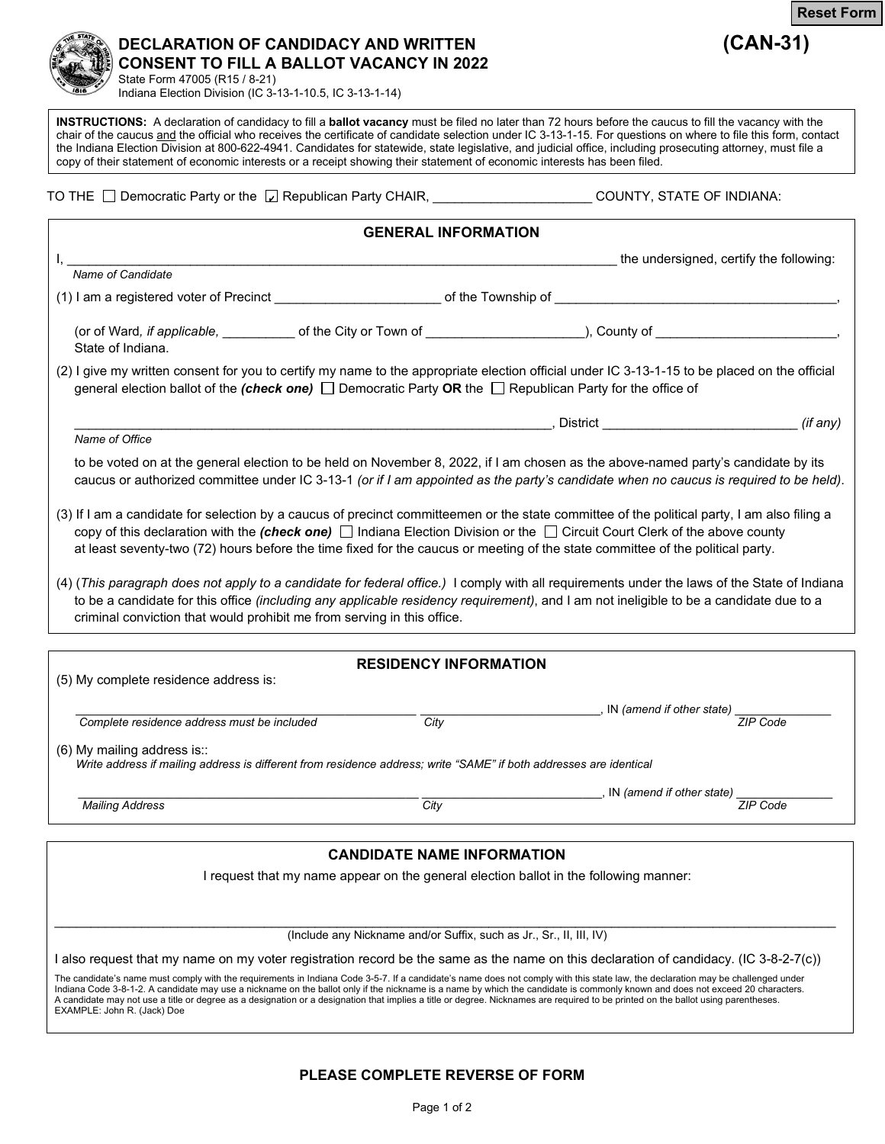

## **DECLARATION OF CANDIDACY AND WRITTEN (CAN-31) CONSENT TO FILL A BALLOT VACANCY IN 2022** State Form 47005 (R15 / 8-21)

Indiana Election Division (IC 3-13-1-10.5, IC 3-13-1-14)

**INSTRUCTIONS:** A declaration of candidacy to fill a **ballot vacancy** must be filed no later than 72 hours before the caucus to fill the vacancy with the chair of the caucus and the official who receives the certificate of candidate selection under IC 3-13-1-15. For questions on where to file this form, contact the Indiana Election Division at 800-622-4941. Candidates for statewide, state legislative, and judicial office, including prosecuting attorney, must file a copy of their statement of economic interests or a receipt showing their statement of economic interests has been filed.

TO THE  $\Box$  Democratic Party or the  $\Box$  Republican Party CHAIR, \_\_\_\_\_\_\_\_\_\_\_\_\_\_\_\_\_\_\_\_\_\_\_\_\_\_\_COUNTY, STATE OF INDIANA:

|                                                                                                                                                                                                                                                                                                                                                                                                                        | <b>GENERAL INFORMATION</b>        |                                                                                       |          |
|------------------------------------------------------------------------------------------------------------------------------------------------------------------------------------------------------------------------------------------------------------------------------------------------------------------------------------------------------------------------------------------------------------------------|-----------------------------------|---------------------------------------------------------------------------------------|----------|
|                                                                                                                                                                                                                                                                                                                                                                                                                        |                                   | the undersigned, certify the following:                                               |          |
| Name of Candidate                                                                                                                                                                                                                                                                                                                                                                                                      |                                   |                                                                                       |          |
|                                                                                                                                                                                                                                                                                                                                                                                                                        |                                   |                                                                                       |          |
| (or of Ward, if applicable, _____________ of the City or Town of ______________________), County of ______________________________,<br>State of Indiana.                                                                                                                                                                                                                                                               |                                   |                                                                                       |          |
| (2) I give my written consent for you to certify my name to the appropriate election official under IC 3-13-1-15 to be placed on the official<br>general election ballot of the (check one) $\Box$ Democratic Party OR the $\Box$ Republican Party for the office of                                                                                                                                                   |                                   |                                                                                       |          |
|                                                                                                                                                                                                                                                                                                                                                                                                                        |                                   |                                                                                       | (if any) |
| Name of Office                                                                                                                                                                                                                                                                                                                                                                                                         |                                   |                                                                                       |          |
| to be voted on at the general election to be held on November 8, 2022, if I am chosen as the above-named party's candidate by its<br>caucus or authorized committee under IC 3-13-1 (or if I am appointed as the party's candidate when no caucus is required to be held).                                                                                                                                             |                                   |                                                                                       |          |
| (3) If I am a candidate for selection by a caucus of precinct committeemen or the state committee of the political party, I am also filing a<br>copy of this declaration with the (check one) $\Box$ Indiana Election Division or the $\Box$ Circuit Court Clerk of the above county<br>at least seventy-two (72) hours before the time fixed for the caucus or meeting of the state committee of the political party. |                                   |                                                                                       |          |
| (4) (This paragraph does not apply to a candidate for federal office.) I comply with all requirements under the laws of the State of Indiana<br>to be a candidate for this office (including any applicable residency requirement), and I am not ineligible to be a candidate due to a<br>criminal conviction that would prohibit me from serving in this office.                                                      |                                   |                                                                                       |          |
|                                                                                                                                                                                                                                                                                                                                                                                                                        |                                   |                                                                                       |          |
| (5) My complete residence address is:                                                                                                                                                                                                                                                                                                                                                                                  | <b>RESIDENCY INFORMATION</b>      |                                                                                       |          |
|                                                                                                                                                                                                                                                                                                                                                                                                                        |                                   | $\overline{\phantom{a}}$ , IN (amend if other state) $\overline{\phantom{a}$ ZIP Code |          |
| Complete residence address must be included                                                                                                                                                                                                                                                                                                                                                                            | City                              |                                                                                       |          |
| $(6)$ My mailing address is::<br>Write address if mailing address is different from residence address; write "SAME" if both addresses are identical                                                                                                                                                                                                                                                                    |                                   |                                                                                       |          |
|                                                                                                                                                                                                                                                                                                                                                                                                                        |                                   | _______________, IN (amend if other state)                                            |          |
| <b>Mailing Address</b>                                                                                                                                                                                                                                                                                                                                                                                                 | City                              |                                                                                       | ZIP Code |
|                                                                                                                                                                                                                                                                                                                                                                                                                        |                                   |                                                                                       |          |
|                                                                                                                                                                                                                                                                                                                                                                                                                        | <b>CANDIDATE NAME INFORMATION</b> |                                                                                       |          |
|                                                                                                                                                                                                                                                                                                                                                                                                                        |                                   | I request that my name appear on the general election ballot in the following manner: |          |
|                                                                                                                                                                                                                                                                                                                                                                                                                        |                                   | (Include any Nickname and/or Suffix, such as Jr., Sr., II, III, IV)                   |          |
| I also request that my name on my voter registration record be the same as the name on this declaration of candidacy. (IC 3-8-2-7(c))                                                                                                                                                                                                                                                                                  |                                   |                                                                                       |          |

The candidate's name must comply with the requirements in Indiana Code 3-5-7. If a candidate's name does not comply with this state law, the declaration may be challenged under Indiana Code 3-8-1-2. A candidate may use a nickname on the ballot only if the nickname is a name by which the candidate is commonly known and does not exceed 20 characters. A candidate may not use a title or degree as a designation or a designation that implies a title or degree. Nicknames are required to be printed on the ballot using parentheses. EXAMPLE: John R. (Jack) Doe